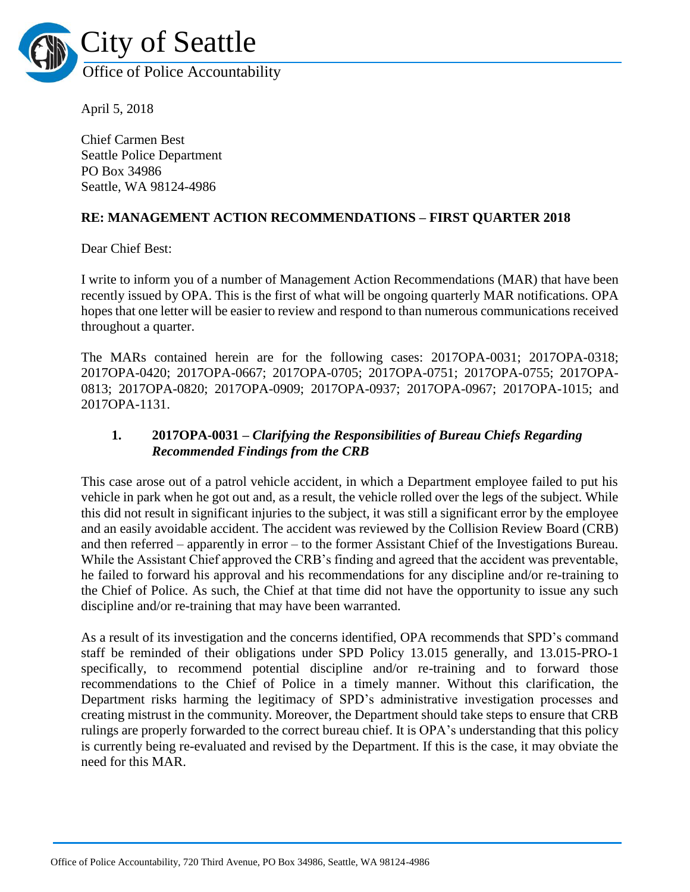

April 5, 2018

Chief Carmen Best Seattle Police Department PO Box 34986 Seattle, WA 98124-4986

#### **RE: MANAGEMENT ACTION RECOMMENDATIONS – FIRST QUARTER 2018**

Dear Chief Best:

I write to inform you of a number of Management Action Recommendations (MAR) that have been recently issued by OPA. This is the first of what will be ongoing quarterly MAR notifications. OPA hopes that one letter will be easier to review and respond to than numerous communications received throughout a quarter.

The MARs contained herein are for the following cases: 2017OPA-0031; 2017OPA-0318; 2017OPA-0420; 2017OPA-0667; 2017OPA-0705; 2017OPA-0751; 2017OPA-0755; 2017OPA-0813; 2017OPA-0820; 2017OPA-0909; 2017OPA-0937; 2017OPA-0967; 2017OPA-1015; and 2017OPA-1131.

#### **1. 2017OPA-0031 –** *Clarifying the Responsibilities of Bureau Chiefs Regarding Recommended Findings from the CRB*

This case arose out of a patrol vehicle accident, in which a Department employee failed to put his vehicle in park when he got out and, as a result, the vehicle rolled over the legs of the subject. While this did not result in significant injuries to the subject, it was still a significant error by the employee and an easily avoidable accident. The accident was reviewed by the Collision Review Board (CRB) and then referred – apparently in error – to the former Assistant Chief of the Investigations Bureau. While the Assistant Chief approved the CRB's finding and agreed that the accident was preventable, he failed to forward his approval and his recommendations for any discipline and/or re-training to the Chief of Police. As such, the Chief at that time did not have the opportunity to issue any such discipline and/or re-training that may have been warranted.

As a result of its investigation and the concerns identified, OPA recommends that SPD's command staff be reminded of their obligations under SPD Policy 13.015 generally, and 13.015-PRO-1 specifically, to recommend potential discipline and/or re-training and to forward those recommendations to the Chief of Police in a timely manner. Without this clarification, the Department risks harming the legitimacy of SPD's administrative investigation processes and creating mistrust in the community. Moreover, the Department should take steps to ensure that CRB rulings are properly forwarded to the correct bureau chief. It is OPA's understanding that this policy is currently being re-evaluated and revised by the Department. If this is the case, it may obviate the need for this MAR.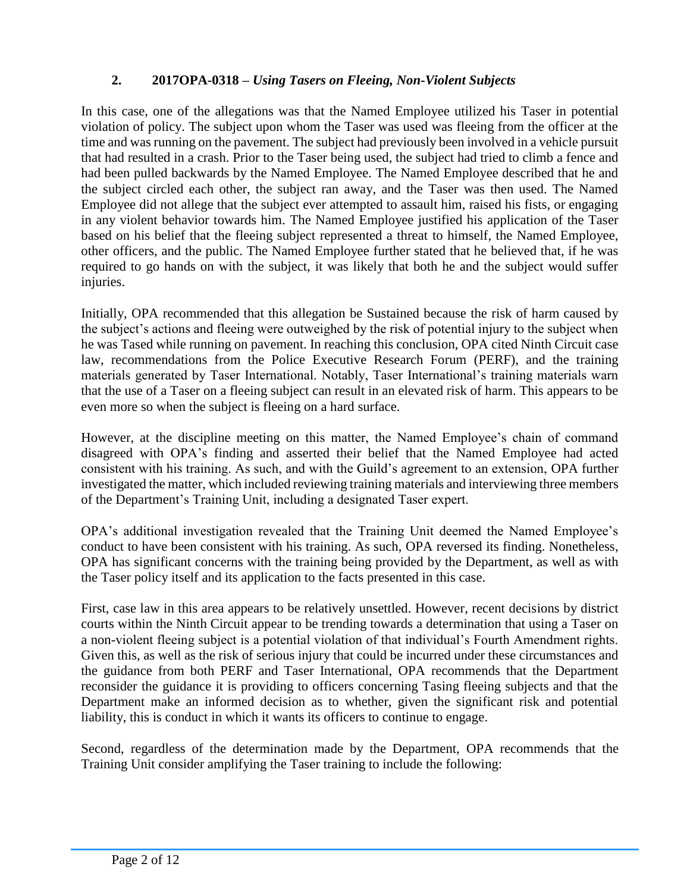### **2. 2017OPA-0318 –** *Using Tasers on Fleeing, Non-Violent Subjects*

In this case, one of the allegations was that the Named Employee utilized his Taser in potential violation of policy. The subject upon whom the Taser was used was fleeing from the officer at the time and was running on the pavement. The subject had previously been involved in a vehicle pursuit that had resulted in a crash. Prior to the Taser being used, the subject had tried to climb a fence and had been pulled backwards by the Named Employee. The Named Employee described that he and the subject circled each other, the subject ran away, and the Taser was then used. The Named Employee did not allege that the subject ever attempted to assault him, raised his fists, or engaging in any violent behavior towards him. The Named Employee justified his application of the Taser based on his belief that the fleeing subject represented a threat to himself, the Named Employee, other officers, and the public. The Named Employee further stated that he believed that, if he was required to go hands on with the subject, it was likely that both he and the subject would suffer injuries.

Initially, OPA recommended that this allegation be Sustained because the risk of harm caused by the subject's actions and fleeing were outweighed by the risk of potential injury to the subject when he was Tased while running on pavement. In reaching this conclusion, OPA cited Ninth Circuit case law, recommendations from the Police Executive Research Forum (PERF), and the training materials generated by Taser International. Notably, Taser International's training materials warn that the use of a Taser on a fleeing subject can result in an elevated risk of harm. This appears to be even more so when the subject is fleeing on a hard surface.

However, at the discipline meeting on this matter, the Named Employee's chain of command disagreed with OPA's finding and asserted their belief that the Named Employee had acted consistent with his training. As such, and with the Guild's agreement to an extension, OPA further investigated the matter, which included reviewing training materials and interviewing three members of the Department's Training Unit, including a designated Taser expert.

OPA's additional investigation revealed that the Training Unit deemed the Named Employee's conduct to have been consistent with his training. As such, OPA reversed its finding. Nonetheless, OPA has significant concerns with the training being provided by the Department, as well as with the Taser policy itself and its application to the facts presented in this case.

First, case law in this area appears to be relatively unsettled. However, recent decisions by district courts within the Ninth Circuit appear to be trending towards a determination that using a Taser on a non-violent fleeing subject is a potential violation of that individual's Fourth Amendment rights. Given this, as well as the risk of serious injury that could be incurred under these circumstances and the guidance from both PERF and Taser International, OPA recommends that the Department reconsider the guidance it is providing to officers concerning Tasing fleeing subjects and that the Department make an informed decision as to whether, given the significant risk and potential liability, this is conduct in which it wants its officers to continue to engage.

Second, regardless of the determination made by the Department, OPA recommends that the Training Unit consider amplifying the Taser training to include the following: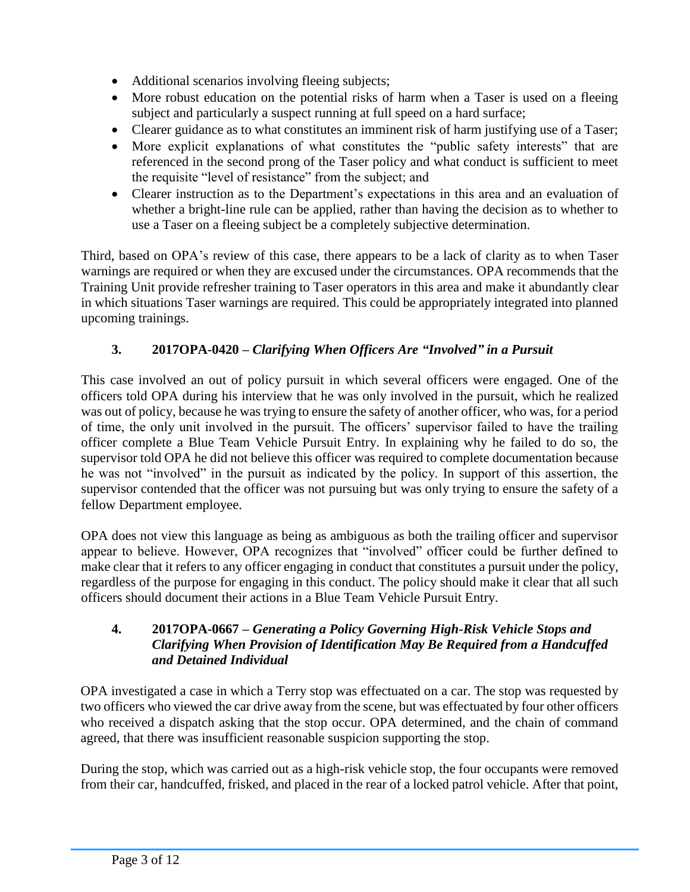- Additional scenarios involving fleeing subjects;
- More robust education on the potential risks of harm when a Taser is used on a fleeing subject and particularly a suspect running at full speed on a hard surface;
- Clearer guidance as to what constitutes an imminent risk of harm justifying use of a Taser;
- More explicit explanations of what constitutes the "public safety interests" that are referenced in the second prong of the Taser policy and what conduct is sufficient to meet the requisite "level of resistance" from the subject; and
- Clearer instruction as to the Department's expectations in this area and an evaluation of whether a bright-line rule can be applied, rather than having the decision as to whether to use a Taser on a fleeing subject be a completely subjective determination.

Third, based on OPA's review of this case, there appears to be a lack of clarity as to when Taser warnings are required or when they are excused under the circumstances. OPA recommends that the Training Unit provide refresher training to Taser operators in this area and make it abundantly clear in which situations Taser warnings are required. This could be appropriately integrated into planned upcoming trainings.

# **3. 2017OPA-0420 –** *Clarifying When Officers Are "Involved" in a Pursuit*

This case involved an out of policy pursuit in which several officers were engaged. One of the officers told OPA during his interview that he was only involved in the pursuit, which he realized was out of policy, because he was trying to ensure the safety of another officer, who was, for a period of time, the only unit involved in the pursuit. The officers' supervisor failed to have the trailing officer complete a Blue Team Vehicle Pursuit Entry. In explaining why he failed to do so, the supervisor told OPA he did not believe this officer was required to complete documentation because he was not "involved" in the pursuit as indicated by the policy. In support of this assertion, the supervisor contended that the officer was not pursuing but was only trying to ensure the safety of a fellow Department employee.

OPA does not view this language as being as ambiguous as both the trailing officer and supervisor appear to believe. However, OPA recognizes that "involved" officer could be further defined to make clear that it refers to any officer engaging in conduct that constitutes a pursuit under the policy, regardless of the purpose for engaging in this conduct. The policy should make it clear that all such officers should document their actions in a Blue Team Vehicle Pursuit Entry.

### **4. 2017OPA-0667 –** *Generating a Policy Governing High-Risk Vehicle Stops and Clarifying When Provision of Identification May Be Required from a Handcuffed and Detained Individual*

OPA investigated a case in which a Terry stop was effectuated on a car. The stop was requested by two officers who viewed the car drive away from the scene, but was effectuated by four other officers who received a dispatch asking that the stop occur. OPA determined, and the chain of command agreed, that there was insufficient reasonable suspicion supporting the stop.

During the stop, which was carried out as a high-risk vehicle stop, the four occupants were removed from their car, handcuffed, frisked, and placed in the rear of a locked patrol vehicle. After that point,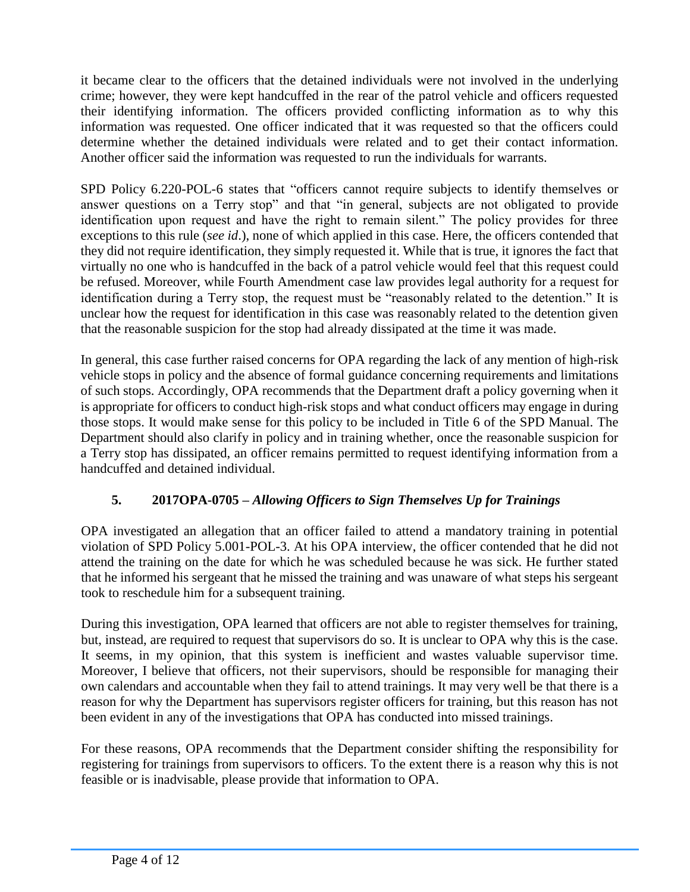it became clear to the officers that the detained individuals were not involved in the underlying crime; however, they were kept handcuffed in the rear of the patrol vehicle and officers requested their identifying information. The officers provided conflicting information as to why this information was requested. One officer indicated that it was requested so that the officers could determine whether the detained individuals were related and to get their contact information. Another officer said the information was requested to run the individuals for warrants.

SPD Policy 6.220-POL-6 states that "officers cannot require subjects to identify themselves or answer questions on a Terry stop" and that "in general, subjects are not obligated to provide identification upon request and have the right to remain silent." The policy provides for three exceptions to this rule (*see id*.), none of which applied in this case. Here, the officers contended that they did not require identification, they simply requested it. While that is true, it ignores the fact that virtually no one who is handcuffed in the back of a patrol vehicle would feel that this request could be refused. Moreover, while Fourth Amendment case law provides legal authority for a request for identification during a Terry stop, the request must be "reasonably related to the detention." It is unclear how the request for identification in this case was reasonably related to the detention given that the reasonable suspicion for the stop had already dissipated at the time it was made.

In general, this case further raised concerns for OPA regarding the lack of any mention of high-risk vehicle stops in policy and the absence of formal guidance concerning requirements and limitations of such stops. Accordingly, OPA recommends that the Department draft a policy governing when it is appropriate for officers to conduct high-risk stops and what conduct officers may engage in during those stops. It would make sense for this policy to be included in Title 6 of the SPD Manual. The Department should also clarify in policy and in training whether, once the reasonable suspicion for a Terry stop has dissipated, an officer remains permitted to request identifying information from a handcuffed and detained individual.

### **5. 2017OPA-0705 –** *Allowing Officers to Sign Themselves Up for Trainings*

OPA investigated an allegation that an officer failed to attend a mandatory training in potential violation of SPD Policy 5.001-POL-3. At his OPA interview, the officer contended that he did not attend the training on the date for which he was scheduled because he was sick. He further stated that he informed his sergeant that he missed the training and was unaware of what steps his sergeant took to reschedule him for a subsequent training.

During this investigation, OPA learned that officers are not able to register themselves for training, but, instead, are required to request that supervisors do so. It is unclear to OPA why this is the case. It seems, in my opinion, that this system is inefficient and wastes valuable supervisor time. Moreover, I believe that officers, not their supervisors, should be responsible for managing their own calendars and accountable when they fail to attend trainings. It may very well be that there is a reason for why the Department has supervisors register officers for training, but this reason has not been evident in any of the investigations that OPA has conducted into missed trainings.

For these reasons, OPA recommends that the Department consider shifting the responsibility for registering for trainings from supervisors to officers. To the extent there is a reason why this is not feasible or is inadvisable, please provide that information to OPA.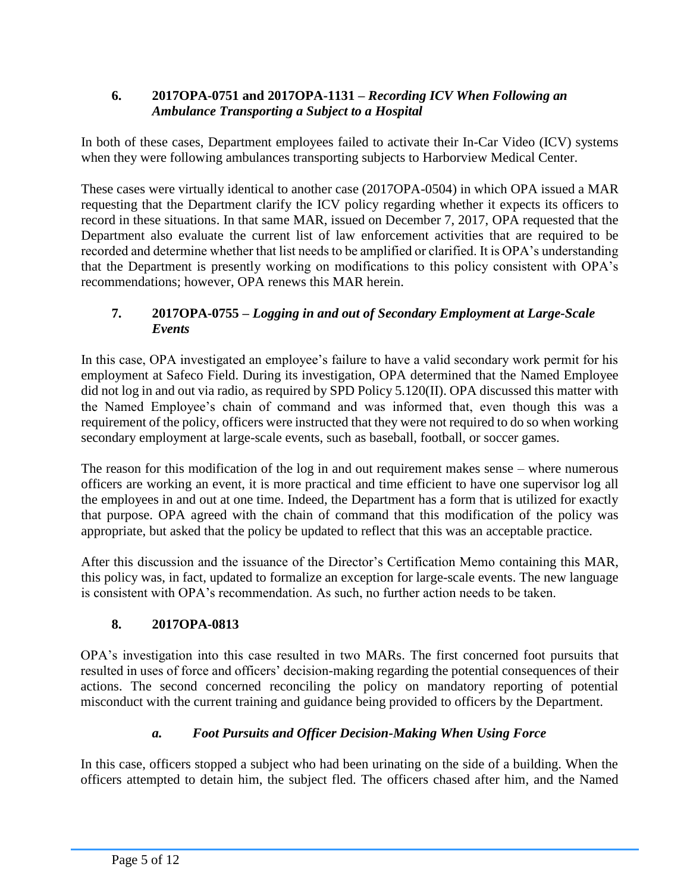### **6. 2017OPA-0751 and 2017OPA-1131 –** *Recording ICV When Following an Ambulance Transporting a Subject to a Hospital*

In both of these cases, Department employees failed to activate their In-Car Video (ICV) systems when they were following ambulances transporting subjects to Harborview Medical Center.

These cases were virtually identical to another case (2017OPA-0504) in which OPA issued a MAR requesting that the Department clarify the ICV policy regarding whether it expects its officers to record in these situations. In that same MAR, issued on December 7, 2017, OPA requested that the Department also evaluate the current list of law enforcement activities that are required to be recorded and determine whether that list needs to be amplified or clarified. It is OPA's understanding that the Department is presently working on modifications to this policy consistent with OPA's recommendations; however, OPA renews this MAR herein.

## **7. 2017OPA-0755 –** *Logging in and out of Secondary Employment at Large-Scale Events*

In this case, OPA investigated an employee's failure to have a valid secondary work permit for his employment at Safeco Field. During its investigation, OPA determined that the Named Employee did not log in and out via radio, as required by SPD Policy 5.120(II). OPA discussed this matter with the Named Employee's chain of command and was informed that, even though this was a requirement of the policy, officers were instructed that they were not required to do so when working secondary employment at large-scale events, such as baseball, football, or soccer games.

The reason for this modification of the log in and out requirement makes sense – where numerous officers are working an event, it is more practical and time efficient to have one supervisor log all the employees in and out at one time. Indeed, the Department has a form that is utilized for exactly that purpose. OPA agreed with the chain of command that this modification of the policy was appropriate, but asked that the policy be updated to reflect that this was an acceptable practice.

After this discussion and the issuance of the Director's Certification Memo containing this MAR, this policy was, in fact, updated to formalize an exception for large-scale events. The new language is consistent with OPA's recommendation. As such, no further action needs to be taken.

### **8. 2017OPA-0813**

OPA's investigation into this case resulted in two MARs. The first concerned foot pursuits that resulted in uses of force and officers' decision-making regarding the potential consequences of their actions. The second concerned reconciling the policy on mandatory reporting of potential misconduct with the current training and guidance being provided to officers by the Department.

### *a. Foot Pursuits and Officer Decision-Making When Using Force*

In this case, officers stopped a subject who had been urinating on the side of a building. When the officers attempted to detain him, the subject fled. The officers chased after him, and the Named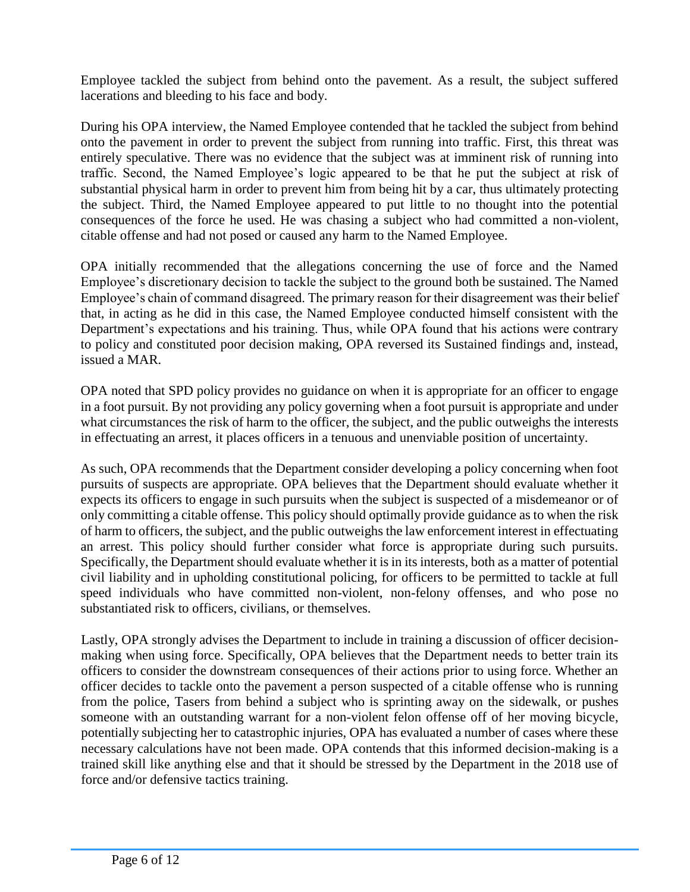Employee tackled the subject from behind onto the pavement. As a result, the subject suffered lacerations and bleeding to his face and body.

During his OPA interview, the Named Employee contended that he tackled the subject from behind onto the pavement in order to prevent the subject from running into traffic. First, this threat was entirely speculative. There was no evidence that the subject was at imminent risk of running into traffic. Second, the Named Employee's logic appeared to be that he put the subject at risk of substantial physical harm in order to prevent him from being hit by a car, thus ultimately protecting the subject. Third, the Named Employee appeared to put little to no thought into the potential consequences of the force he used. He was chasing a subject who had committed a non-violent, citable offense and had not posed or caused any harm to the Named Employee.

OPA initially recommended that the allegations concerning the use of force and the Named Employee's discretionary decision to tackle the subject to the ground both be sustained. The Named Employee's chain of command disagreed. The primary reason for their disagreement was their belief that, in acting as he did in this case, the Named Employee conducted himself consistent with the Department's expectations and his training. Thus, while OPA found that his actions were contrary to policy and constituted poor decision making, OPA reversed its Sustained findings and, instead, issued a MAR.

OPA noted that SPD policy provides no guidance on when it is appropriate for an officer to engage in a foot pursuit. By not providing any policy governing when a foot pursuit is appropriate and under what circumstances the risk of harm to the officer, the subject, and the public outweighs the interests in effectuating an arrest, it places officers in a tenuous and unenviable position of uncertainty.

As such, OPA recommends that the Department consider developing a policy concerning when foot pursuits of suspects are appropriate. OPA believes that the Department should evaluate whether it expects its officers to engage in such pursuits when the subject is suspected of a misdemeanor or of only committing a citable offense. This policy should optimally provide guidance as to when the risk of harm to officers, the subject, and the public outweighs the law enforcement interest in effectuating an arrest. This policy should further consider what force is appropriate during such pursuits. Specifically, the Department should evaluate whether it is in its interests, both as a matter of potential civil liability and in upholding constitutional policing, for officers to be permitted to tackle at full speed individuals who have committed non-violent, non-felony offenses, and who pose no substantiated risk to officers, civilians, or themselves.

Lastly, OPA strongly advises the Department to include in training a discussion of officer decisionmaking when using force. Specifically, OPA believes that the Department needs to better train its officers to consider the downstream consequences of their actions prior to using force. Whether an officer decides to tackle onto the pavement a person suspected of a citable offense who is running from the police, Tasers from behind a subject who is sprinting away on the sidewalk, or pushes someone with an outstanding warrant for a non-violent felon offense off of her moving bicycle, potentially subjecting her to catastrophic injuries, OPA has evaluated a number of cases where these necessary calculations have not been made. OPA contends that this informed decision-making is a trained skill like anything else and that it should be stressed by the Department in the 2018 use of force and/or defensive tactics training.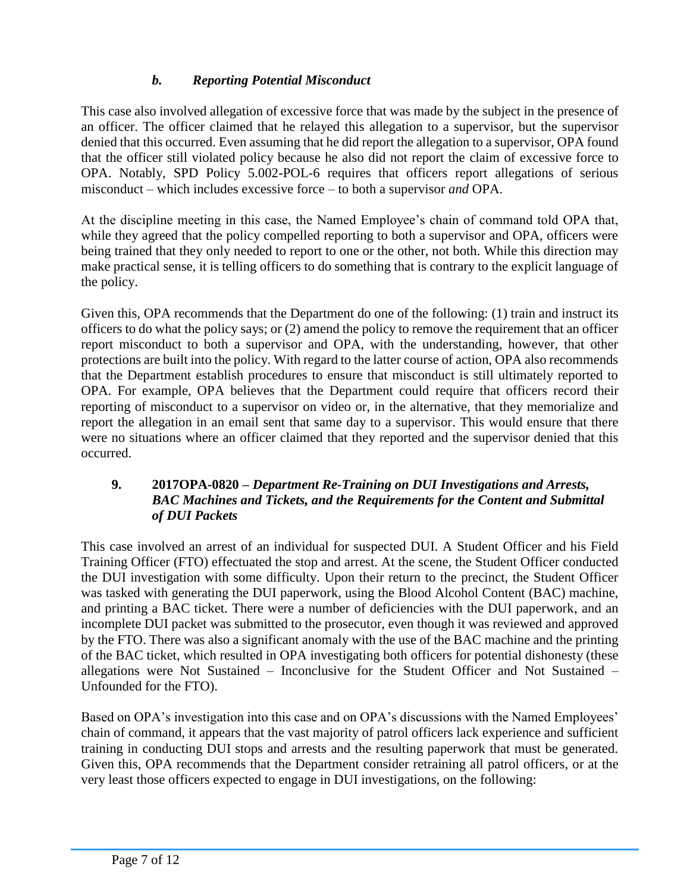# *b. Reporting Potential Misconduct*

This case also involved allegation of excessive force that was made by the subject in the presence of an officer. The officer claimed that he relayed this allegation to a supervisor, but the supervisor denied that this occurred. Even assuming that he did report the allegation to a supervisor, OPA found that the officer still violated policy because he also did not report the claim of excessive force to OPA. Notably, SPD Policy 5.002-POL-6 requires that officers report allegations of serious misconduct – which includes excessive force – to both a supervisor *and* OPA.

At the discipline meeting in this case, the Named Employee's chain of command told OPA that, while they agreed that the policy compelled reporting to both a supervisor and OPA, officers were being trained that they only needed to report to one or the other, not both. While this direction may make practical sense, it is telling officers to do something that is contrary to the explicit language of the policy.

Given this, OPA recommends that the Department do one of the following: (1) train and instruct its officers to do what the policy says; or (2) amend the policy to remove the requirement that an officer report misconduct to both a supervisor and OPA, with the understanding, however, that other protections are built into the policy. With regard to the latter course of action, OPA also recommends that the Department establish procedures to ensure that misconduct is still ultimately reported to OPA. For example, OPA believes that the Department could require that officers record their reporting of misconduct to a supervisor on video or, in the alternative, that they memorialize and report the allegation in an email sent that same day to a supervisor. This would ensure that there were no situations where an officer claimed that they reported and the supervisor denied that this occurred.

#### **9. 2017OPA-0820 –** *Department Re-Training on DUI Investigations and Arrests, BAC Machines and Tickets, and the Requirements for the Content and Submittal of DUI Packets*

This case involved an arrest of an individual for suspected DUI. A Student Officer and his Field Training Officer (FTO) effectuated the stop and arrest. At the scene, the Student Officer conducted the DUI investigation with some difficulty. Upon their return to the precinct, the Student Officer was tasked with generating the DUI paperwork, using the Blood Alcohol Content (BAC) machine, and printing a BAC ticket. There were a number of deficiencies with the DUI paperwork, and an incomplete DUI packet was submitted to the prosecutor, even though it was reviewed and approved by the FTO. There was also a significant anomaly with the use of the BAC machine and the printing of the BAC ticket, which resulted in OPA investigating both officers for potential dishonesty (these allegations were Not Sustained – Inconclusive for the Student Officer and Not Sustained – Unfounded for the FTO).

Based on OPA's investigation into this case and on OPA's discussions with the Named Employees' chain of command, it appears that the vast majority of patrol officers lack experience and sufficient training in conducting DUI stops and arrests and the resulting paperwork that must be generated. Given this, OPA recommends that the Department consider retraining all patrol officers, or at the very least those officers expected to engage in DUI investigations, on the following: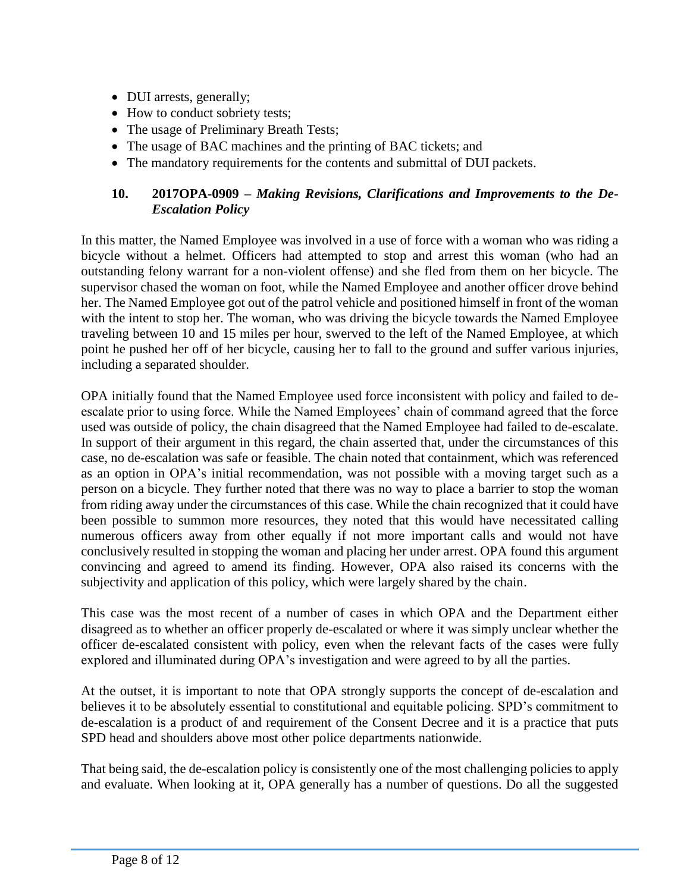- DUI arrests, generally;
- How to conduct sobriety tests;
- The usage of Preliminary Breath Tests;
- The usage of BAC machines and the printing of BAC tickets; and
- The mandatory requirements for the contents and submittal of DUI packets.

### **10. 2017OPA-0909 –** *Making Revisions, Clarifications and Improvements to the De-Escalation Policy*

In this matter, the Named Employee was involved in a use of force with a woman who was riding a bicycle without a helmet. Officers had attempted to stop and arrest this woman (who had an outstanding felony warrant for a non-violent offense) and she fled from them on her bicycle. The supervisor chased the woman on foot, while the Named Employee and another officer drove behind her. The Named Employee got out of the patrol vehicle and positioned himself in front of the woman with the intent to stop her. The woman, who was driving the bicycle towards the Named Employee traveling between 10 and 15 miles per hour, swerved to the left of the Named Employee, at which point he pushed her off of her bicycle, causing her to fall to the ground and suffer various injuries, including a separated shoulder.

OPA initially found that the Named Employee used force inconsistent with policy and failed to deescalate prior to using force. While the Named Employees' chain of command agreed that the force used was outside of policy, the chain disagreed that the Named Employee had failed to de-escalate. In support of their argument in this regard, the chain asserted that, under the circumstances of this case, no de-escalation was safe or feasible. The chain noted that containment, which was referenced as an option in OPA's initial recommendation, was not possible with a moving target such as a person on a bicycle. They further noted that there was no way to place a barrier to stop the woman from riding away under the circumstances of this case. While the chain recognized that it could have been possible to summon more resources, they noted that this would have necessitated calling numerous officers away from other equally if not more important calls and would not have conclusively resulted in stopping the woman and placing her under arrest. OPA found this argument convincing and agreed to amend its finding. However, OPA also raised its concerns with the subjectivity and application of this policy, which were largely shared by the chain.

This case was the most recent of a number of cases in which OPA and the Department either disagreed as to whether an officer properly de-escalated or where it was simply unclear whether the officer de-escalated consistent with policy, even when the relevant facts of the cases were fully explored and illuminated during OPA's investigation and were agreed to by all the parties.

At the outset, it is important to note that OPA strongly supports the concept of de-escalation and believes it to be absolutely essential to constitutional and equitable policing. SPD's commitment to de-escalation is a product of and requirement of the Consent Decree and it is a practice that puts SPD head and shoulders above most other police departments nationwide.

That being said, the de-escalation policy is consistently one of the most challenging policies to apply and evaluate. When looking at it, OPA generally has a number of questions. Do all the suggested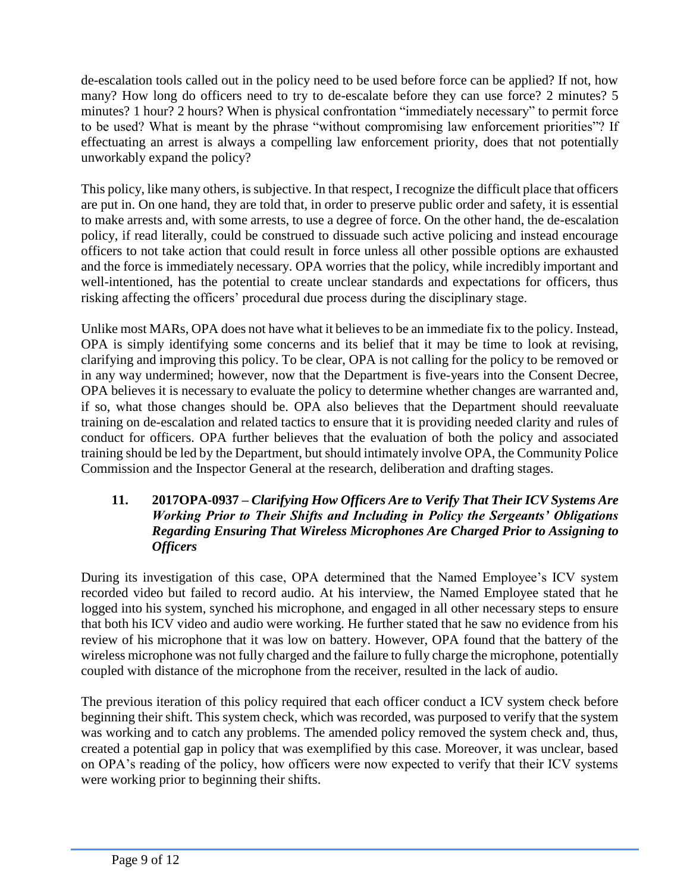de-escalation tools called out in the policy need to be used before force can be applied? If not, how many? How long do officers need to try to de-escalate before they can use force? 2 minutes? 5 minutes? 1 hour? 2 hours? When is physical confrontation "immediately necessary" to permit force to be used? What is meant by the phrase "without compromising law enforcement priorities"? If effectuating an arrest is always a compelling law enforcement priority, does that not potentially unworkably expand the policy?

This policy, like many others, is subjective. In that respect, I recognize the difficult place that officers are put in. On one hand, they are told that, in order to preserve public order and safety, it is essential to make arrests and, with some arrests, to use a degree of force. On the other hand, the de-escalation policy, if read literally, could be construed to dissuade such active policing and instead encourage officers to not take action that could result in force unless all other possible options are exhausted and the force is immediately necessary. OPA worries that the policy, while incredibly important and well-intentioned, has the potential to create unclear standards and expectations for officers, thus risking affecting the officers' procedural due process during the disciplinary stage.

Unlike most MARs, OPA does not have what it believes to be an immediate fix to the policy. Instead, OPA is simply identifying some concerns and its belief that it may be time to look at revising, clarifying and improving this policy. To be clear, OPA is not calling for the policy to be removed or in any way undermined; however, now that the Department is five-years into the Consent Decree, OPA believes it is necessary to evaluate the policy to determine whether changes are warranted and, if so, what those changes should be. OPA also believes that the Department should reevaluate training on de-escalation and related tactics to ensure that it is providing needed clarity and rules of conduct for officers. OPA further believes that the evaluation of both the policy and associated training should be led by the Department, but should intimately involve OPA, the Community Police Commission and the Inspector General at the research, deliberation and drafting stages.

#### **11. 2017OPA-0937 –** *Clarifying How Officers Are to Verify That Their ICV Systems Are Working Prior to Their Shifts and Including in Policy the Sergeants' Obligations Regarding Ensuring That Wireless Microphones Are Charged Prior to Assigning to Officers*

During its investigation of this case, OPA determined that the Named Employee's ICV system recorded video but failed to record audio. At his interview, the Named Employee stated that he logged into his system, synched his microphone, and engaged in all other necessary steps to ensure that both his ICV video and audio were working. He further stated that he saw no evidence from his review of his microphone that it was low on battery. However, OPA found that the battery of the wireless microphone was not fully charged and the failure to fully charge the microphone, potentially coupled with distance of the microphone from the receiver, resulted in the lack of audio.

The previous iteration of this policy required that each officer conduct a ICV system check before beginning their shift. This system check, which was recorded, was purposed to verify that the system was working and to catch any problems. The amended policy removed the system check and, thus, created a potential gap in policy that was exemplified by this case. Moreover, it was unclear, based on OPA's reading of the policy, how officers were now expected to verify that their ICV systems were working prior to beginning their shifts.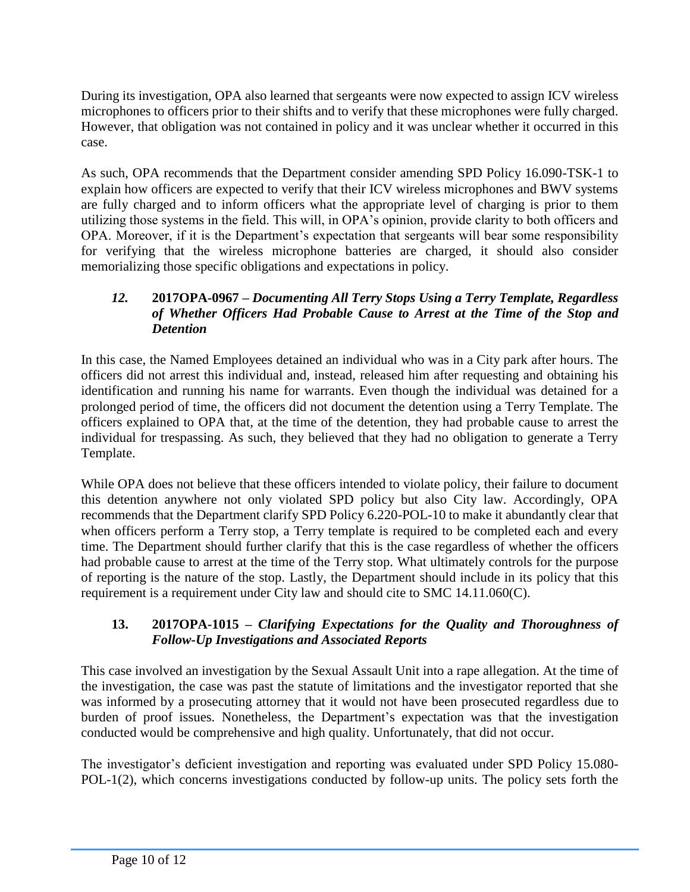During its investigation, OPA also learned that sergeants were now expected to assign ICV wireless microphones to officers prior to their shifts and to verify that these microphones were fully charged. However, that obligation was not contained in policy and it was unclear whether it occurred in this case.

As such, OPA recommends that the Department consider amending SPD Policy 16.090-TSK-1 to explain how officers are expected to verify that their ICV wireless microphones and BWV systems are fully charged and to inform officers what the appropriate level of charging is prior to them utilizing those systems in the field. This will, in OPA's opinion, provide clarity to both officers and OPA. Moreover, if it is the Department's expectation that sergeants will bear some responsibility for verifying that the wireless microphone batteries are charged, it should also consider memorializing those specific obligations and expectations in policy.

### *12.* **2017OPA-0967 –** *Documenting All Terry Stops Using a Terry Template, Regardless of Whether Officers Had Probable Cause to Arrest at the Time of the Stop and Detention*

In this case, the Named Employees detained an individual who was in a City park after hours. The officers did not arrest this individual and, instead, released him after requesting and obtaining his identification and running his name for warrants. Even though the individual was detained for a prolonged period of time, the officers did not document the detention using a Terry Template. The officers explained to OPA that, at the time of the detention, they had probable cause to arrest the individual for trespassing. As such, they believed that they had no obligation to generate a Terry Template.

While OPA does not believe that these officers intended to violate policy, their failure to document this detention anywhere not only violated SPD policy but also City law. Accordingly, OPA recommends that the Department clarify SPD Policy 6.220-POL-10 to make it abundantly clear that when officers perform a Terry stop, a Terry template is required to be completed each and every time. The Department should further clarify that this is the case regardless of whether the officers had probable cause to arrest at the time of the Terry stop. What ultimately controls for the purpose of reporting is the nature of the stop. Lastly, the Department should include in its policy that this requirement is a requirement under City law and should cite to SMC 14.11.060(C).

### **13. 2017OPA-1015 –** *Clarifying Expectations for the Quality and Thoroughness of Follow-Up Investigations and Associated Reports*

This case involved an investigation by the Sexual Assault Unit into a rape allegation. At the time of the investigation, the case was past the statute of limitations and the investigator reported that she was informed by a prosecuting attorney that it would not have been prosecuted regardless due to burden of proof issues. Nonetheless, the Department's expectation was that the investigation conducted would be comprehensive and high quality. Unfortunately, that did not occur.

The investigator's deficient investigation and reporting was evaluated under SPD Policy 15.080- POL-1(2), which concerns investigations conducted by follow-up units. The policy sets forth the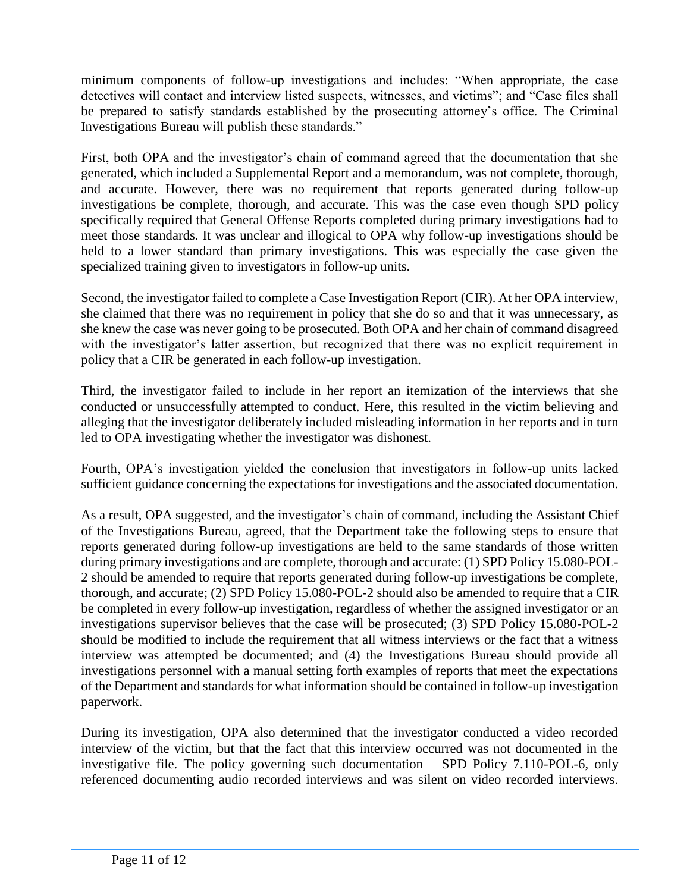minimum components of follow-up investigations and includes: "When appropriate, the case detectives will contact and interview listed suspects, witnesses, and victims"; and "Case files shall be prepared to satisfy standards established by the prosecuting attorney's office. The Criminal Investigations Bureau will publish these standards."

First, both OPA and the investigator's chain of command agreed that the documentation that she generated, which included a Supplemental Report and a memorandum, was not complete, thorough, and accurate. However, there was no requirement that reports generated during follow-up investigations be complete, thorough, and accurate. This was the case even though SPD policy specifically required that General Offense Reports completed during primary investigations had to meet those standards. It was unclear and illogical to OPA why follow-up investigations should be held to a lower standard than primary investigations. This was especially the case given the specialized training given to investigators in follow-up units.

Second, the investigator failed to complete a Case Investigation Report (CIR). At her OPA interview, she claimed that there was no requirement in policy that she do so and that it was unnecessary, as she knew the case was never going to be prosecuted. Both OPA and her chain of command disagreed with the investigator's latter assertion, but recognized that there was no explicit requirement in policy that a CIR be generated in each follow-up investigation.

Third, the investigator failed to include in her report an itemization of the interviews that she conducted or unsuccessfully attempted to conduct. Here, this resulted in the victim believing and alleging that the investigator deliberately included misleading information in her reports and in turn led to OPA investigating whether the investigator was dishonest.

Fourth, OPA's investigation yielded the conclusion that investigators in follow-up units lacked sufficient guidance concerning the expectations for investigations and the associated documentation.

As a result, OPA suggested, and the investigator's chain of command, including the Assistant Chief of the Investigations Bureau, agreed, that the Department take the following steps to ensure that reports generated during follow-up investigations are held to the same standards of those written during primary investigations and are complete, thorough and accurate: (1) SPD Policy 15.080-POL-2 should be amended to require that reports generated during follow-up investigations be complete, thorough, and accurate; (2) SPD Policy 15.080-POL-2 should also be amended to require that a CIR be completed in every follow-up investigation, regardless of whether the assigned investigator or an investigations supervisor believes that the case will be prosecuted; (3) SPD Policy 15.080-POL-2 should be modified to include the requirement that all witness interviews or the fact that a witness interview was attempted be documented; and (4) the Investigations Bureau should provide all investigations personnel with a manual setting forth examples of reports that meet the expectations of the Department and standards for what information should be contained in follow-up investigation paperwork.

During its investigation, OPA also determined that the investigator conducted a video recorded interview of the victim, but that the fact that this interview occurred was not documented in the investigative file. The policy governing such documentation – SPD Policy 7.110-POL-6, only referenced documenting audio recorded interviews and was silent on video recorded interviews.